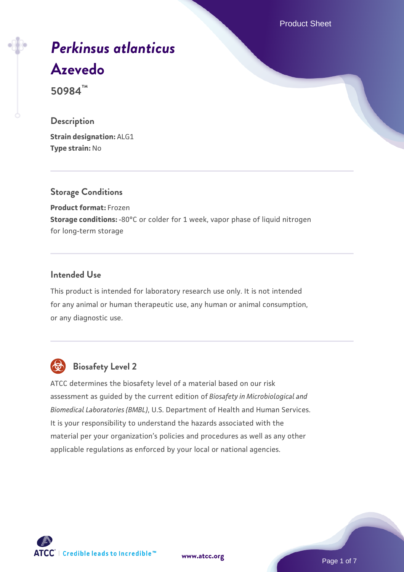Product Sheet

# *[Perkinsus atlanticus](https://www.atcc.org/products/50984)* **[Azevedo](https://www.atcc.org/products/50984)**

**50984™**

# **Description**

**Strain designation:** ALG1 **Type strain:** No

### **Storage Conditions**

**Product format:** Frozen **Storage conditions:** -80°C or colder for 1 week, vapor phase of liquid nitrogen for long-term storage

# **Intended Use**

This product is intended for laboratory research use only. It is not intended for any animal or human therapeutic use, any human or animal consumption, or any diagnostic use.



# **Biosafety Level 2**

ATCC determines the biosafety level of a material based on our risk assessment as guided by the current edition of *Biosafety in Microbiological and Biomedical Laboratories (BMBL)*, U.S. Department of Health and Human Services. It is your responsibility to understand the hazards associated with the material per your organization's policies and procedures as well as any other applicable regulations as enforced by your local or national agencies.

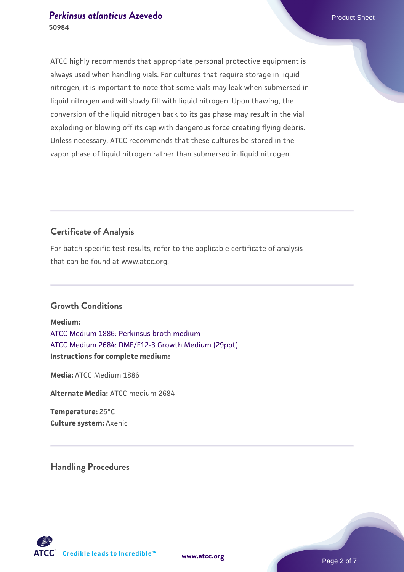# **[Perkinsus atlanticus](https://www.atcc.org/products/50984) [Azevedo](https://www.atcc.org/products/50984)** Product Sheet **50984**

ATCC highly recommends that appropriate personal protective equipment is always used when handling vials. For cultures that require storage in liquid nitrogen, it is important to note that some vials may leak when submersed in liquid nitrogen and will slowly fill with liquid nitrogen. Upon thawing, the conversion of the liquid nitrogen back to its gas phase may result in the vial exploding or blowing off its cap with dangerous force creating flying debris. Unless necessary, ATCC recommends that these cultures be stored in the vapor phase of liquid nitrogen rather than submersed in liquid nitrogen.

# **Certificate of Analysis**

For batch-specific test results, refer to the applicable certificate of analysis that can be found at www.atcc.org.

# **Growth Conditions**

**Medium:**  [ATCC Medium 1886: Perkinsus broth medium](https://www.atcc.org/-/media/product-assets/documents/microbial-media-formulations/atcc-medium-1886.pdf?rev=3f191fd8ade443aca9e8e4826432baa3) [ATCC Medium 2684: DME/F12-3 Growth Medium \(29ppt\)](https://www.atcc.org/-/media/product-assets/documents/microbial-media-formulations/atcc-medium-2684.pdf?rev=559b2e98c15b432880708b8129fe13b6) **Instructions for complete medium:**

**Media:** ATCC Medium 1886

**Alternate Media:** ATCC medium 2684

**Temperature:** 25°C **Culture system:** Axenic

**Handling Procedures**

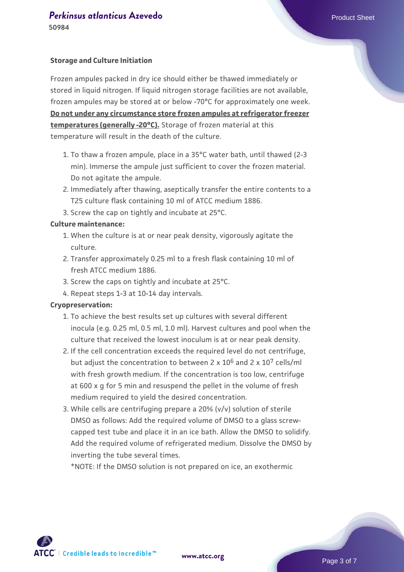#### **Storage and Culture Initiation**

Frozen ampules packed in dry ice should either be thawed immediately or stored in liquid nitrogen. If liquid nitrogen storage facilities are not available, frozen ampules may be stored at or below -70°C for approximately one week. **Do not under any circumstance store frozen ampules at refrigerator freezer temperatures (generally -20°C).** Storage of frozen material at this temperature will result in the death of the culture.

- To thaw a frozen ampule, place in a 35°C water bath, until thawed (2-3 1. min). Immerse the ampule just sufficient to cover the frozen material. Do not agitate the ampule.
- 2. Immediately after thawing, aseptically transfer the entire contents to a T25 culture flask containing 10 ml of ATCC medium 1886.
- 3. Screw the cap on tightly and incubate at 25°C.

#### **Culture maintenance:**

- When the culture is at or near peak density, vigorously agitate the 1. culture.
- 2. Transfer approximately 0.25 ml to a fresh flask containing 10 ml of fresh ATCC medium 1886.
- 3. Screw the caps on tightly and incubate at 25°C.
- 4. Repeat steps 1-3 at 10-14 day intervals.

#### **Cryopreservation:**

- 1. To achieve the best results set up cultures with several different inocula (e.g. 0.25 ml, 0.5 ml, 1.0 ml). Harvest cultures and pool when the culture that received the lowest inoculum is at or near peak density.
- 2. If the cell concentration exceeds the required level do not centrifuge, but adjust the concentration to between  $2 \times 10^6$  and  $2 \times 10^7$  cells/ml with fresh growth medium. If the concentration is too low, centrifuge at 600 x g for 5 min and resuspend the pellet in the volume of fresh medium required to yield the desired concentration.
- While cells are centrifuging prepare a 20% (v/v) solution of sterile 3. DMSO as follows: Add the required volume of DMSO to a glass screwcapped test tube and place it in an ice bath. Allow the DMSO to solidify. Add the required volume of refrigerated medium. Dissolve the DMSO by inverting the tube several times.

\*NOTE: If the DMSO solution is not prepared on ice, an exothermic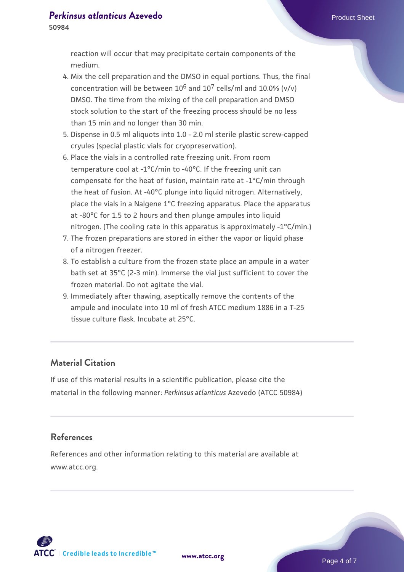reaction will occur that may precipitate certain components of the medium.

- 4. Mix the cell preparation and the DMSO in equal portions. Thus, the final concentration will be between  $10^6$  and  $10^7$  cells/ml and  $10.0\%$  (v/y) DMSO. The time from the mixing of the cell preparation and DMSO stock solution to the start of the freezing process should be no less than 15 min and no longer than 30 min.
- 5. Dispense in 0.5 ml aliquots into 1.0 2.0 ml sterile plastic screw-capped cryules (special plastic vials for cryopreservation).
- 6. Place the vials in a controlled rate freezing unit. From room temperature cool at -1°C/min to -40°C. If the freezing unit can compensate for the heat of fusion, maintain rate at -1°C/min through the heat of fusion. At -40°C plunge into liquid nitrogen. Alternatively, place the vials in a Nalgene 1°C freezing apparatus. Place the apparatus at -80°C for 1.5 to 2 hours and then plunge ampules into liquid nitrogen. (The cooling rate in this apparatus is approximately -1°C/min.)
- The frozen preparations are stored in either the vapor or liquid phase 7. of a nitrogen freezer.
- 8. To establish a culture from the frozen state place an ampule in a water bath set at 35°C (2-3 min). Immerse the vial just sufficient to cover the frozen material. Do not agitate the vial.
- 9. Immediately after thawing, aseptically remove the contents of the ampule and inoculate into 10 ml of fresh ATCC medium 1886 in a T-25 tissue culture flask. Incubate at 25°C.

# **Material Citation**

If use of this material results in a scientific publication, please cite the material in the following manner: *Perkinsus atlanticus* Azevedo (ATCC 50984)

#### **References**

References and other information relating to this material are available at www.atcc.org.

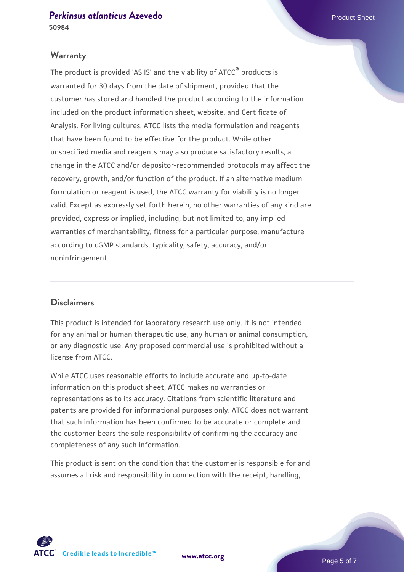#### **Warranty**

The product is provided 'AS IS' and the viability of ATCC® products is warranted for 30 days from the date of shipment, provided that the customer has stored and handled the product according to the information included on the product information sheet, website, and Certificate of Analysis. For living cultures, ATCC lists the media formulation and reagents that have been found to be effective for the product. While other unspecified media and reagents may also produce satisfactory results, a change in the ATCC and/or depositor-recommended protocols may affect the recovery, growth, and/or function of the product. If an alternative medium formulation or reagent is used, the ATCC warranty for viability is no longer valid. Except as expressly set forth herein, no other warranties of any kind are provided, express or implied, including, but not limited to, any implied warranties of merchantability, fitness for a particular purpose, manufacture according to cGMP standards, typicality, safety, accuracy, and/or noninfringement.

### **Disclaimers**

This product is intended for laboratory research use only. It is not intended for any animal or human therapeutic use, any human or animal consumption, or any diagnostic use. Any proposed commercial use is prohibited without a license from ATCC.

While ATCC uses reasonable efforts to include accurate and up-to-date information on this product sheet, ATCC makes no warranties or representations as to its accuracy. Citations from scientific literature and patents are provided for informational purposes only. ATCC does not warrant that such information has been confirmed to be accurate or complete and the customer bears the sole responsibility of confirming the accuracy and completeness of any such information.

This product is sent on the condition that the customer is responsible for and assumes all risk and responsibility in connection with the receipt, handling,



**[www.atcc.org](http://www.atcc.org)**

Page 5 of 7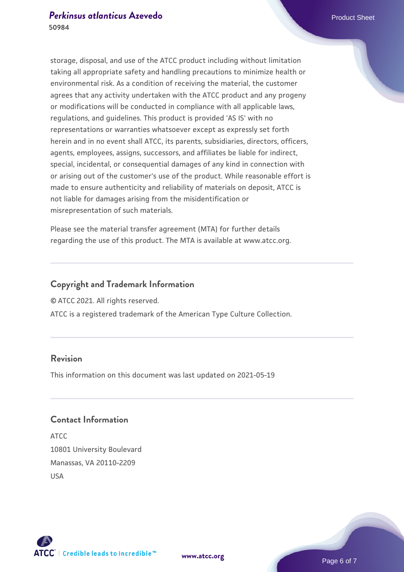storage, disposal, and use of the ATCC product including without limitation taking all appropriate safety and handling precautions to minimize health or environmental risk. As a condition of receiving the material, the customer agrees that any activity undertaken with the ATCC product and any progeny or modifications will be conducted in compliance with all applicable laws, regulations, and guidelines. This product is provided 'AS IS' with no representations or warranties whatsoever except as expressly set forth herein and in no event shall ATCC, its parents, subsidiaries, directors, officers, agents, employees, assigns, successors, and affiliates be liable for indirect, special, incidental, or consequential damages of any kind in connection with or arising out of the customer's use of the product. While reasonable effort is made to ensure authenticity and reliability of materials on deposit, ATCC is not liable for damages arising from the misidentification or misrepresentation of such materials.

Please see the material transfer agreement (MTA) for further details regarding the use of this product. The MTA is available at www.atcc.org.

#### **Copyright and Trademark Information**

© ATCC 2021. All rights reserved.

ATCC is a registered trademark of the American Type Culture Collection.

# **Revision**

This information on this document was last updated on 2021-05-19

# **Contact Information**

ATCC 10801 University Boulevard Manassas, VA 20110-2209 USA